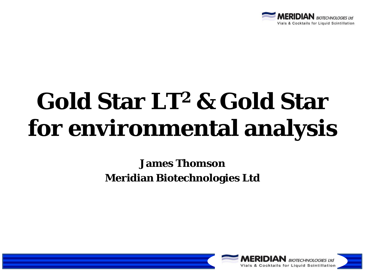

## **Gold Star LT2 & Gold Star for environmental analysis**

#### **James Thomson Meridian Biotechnologies Ltd**

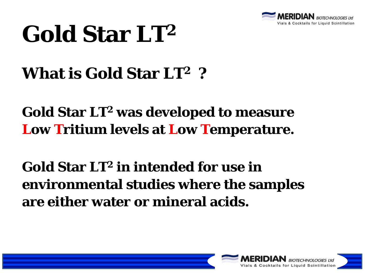

#### **What is Gold Star LT2 ?**

#### **Gold Star LT2 was developed to measure Low Tritium levels at Low Temperature.**

#### **Gold Star LT2 in intended for use in environmental studies where the samples are either water or mineral acids.**

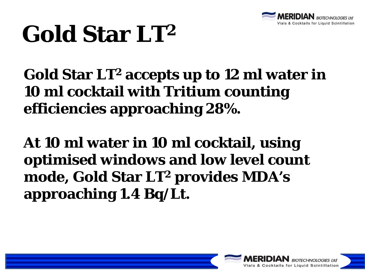

**Gold Star LT2 accepts up to 12 ml water in 10 ml cocktail with Tritium counting efficiencies approaching 28%.** 

**At 10 ml water in 10 ml cocktail, using optimised windows and low level count mode, Gold Star LT2 provides MDA's approaching 1.4 Bq/Lt.**

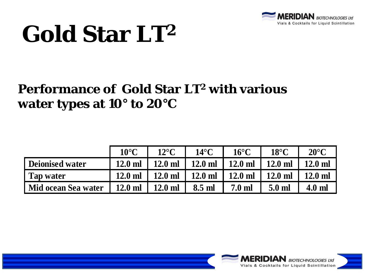

#### **Performance of Gold Star LT2 with various water types at 10° to 20°C**

|                     | $10^{\circ}$ C | $12^{\circ}$ C        | $14^{\circ}$ C | $16^{\circ}$ C   | $18^{\circ}$ C | $20^{\circ}$ C |
|---------------------|----------------|-----------------------|----------------|------------------|----------------|----------------|
| Deionised water     | $12.0$ ml      | $12.0$ ml             | $12.0$ ml      | $12.0$ ml        | $12.0$ ml      | $12.0$ ml      |
| Tap water           | $12.0$ ml      | $12.0$ ml $\parallel$ | $12.0$ ml      | $12.0$ ml        | $12.0$ ml      | $12.0$ ml      |
| Mid ocean Sea water | $12.0$ ml      | $12.0$ ml             | 8.5 ml         | $7.0 \text{ ml}$ | 5.0 ml         | $4.0$ ml       |

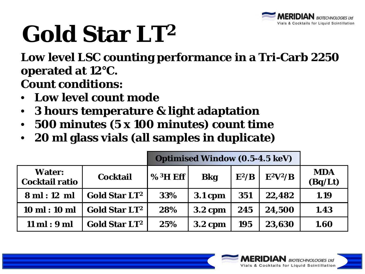

**Low level LSC counting performance in a Tri-Carb 2250 operated at 12°C. Count conditions:**

- **Low level count mode**
- **3 hours temperature & light adaptation**
- **500 minutes (5 x 100 minutes) count time**
- **20 ml glass vials (all samples in duplicate)**

|                                        |                                 | <b>Optimised Window (0.5-4.5 keV)</b> |                |            |            |                       |
|----------------------------------------|---------------------------------|---------------------------------------|----------------|------------|------------|-----------------------|
| <b>Water:</b><br><b>Cocktail ratio</b> | <b>Cocktail</b>                 | $%3H$ Eff                             | <b>Bkg</b>     | $E^2/B$    | $E^2V^2/B$ | <b>MDA</b><br>(Bq/Lt) |
| 8ml:12ml                               | <b>Gold Star LT<sup>2</sup></b> | 33%                                   | <b>3.1 cpm</b> | 351        | 22,482     | 1.19                  |
| $10 \text{ ml} : 10 \text{ ml}$        | <b>Gold Star LT<sup>2</sup></b> | 28%                                   | <b>3.2 cpm</b> | 245        | 24,500     | 1.43                  |
| $11$ ml : $9$ ml                       | <b>Gold Star LT<sup>2</sup></b> | 25%                                   | <b>3.2 cpm</b> | <b>195</b> | 23,630     | 1.60                  |

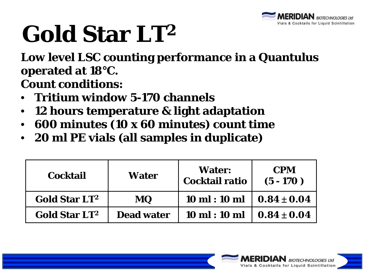

**Low level LSC counting performance in a Quantulus operated at 18°C.**

**Count conditions:**

- **Tritium window 5-170 channels**
- **12 hours temperature & light adaptation**
- **600 minutes (10 x 60 minutes) count time**
- **20 ml PE vials (all samples in duplicate)**

| <b>Cocktail</b>                 | Water             | <b>Water:</b><br><b>Cocktail ratio</b>              | <b>CPM</b><br>$(5 - 170)$ |
|---------------------------------|-------------------|-----------------------------------------------------|---------------------------|
| <b>Gold Star LT<sup>2</sup></b> | <b>MQ</b>         | $10 \text{ ml} : 10 \text{ ml} \cdot 0.84 \pm 0.04$ |                           |
| <b>Gold Star LT<sup>2</sup></b> | <b>Dead water</b> | $10 \text{ ml} : 10 \text{ ml}$                     | $0.84 \pm 0.04$           |

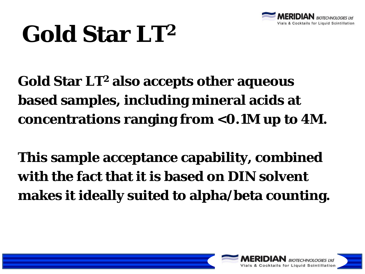

**Gold Star LT2 also accepts other aqueous based samples, including mineral acids at concentrations ranging from <0.1M up to 4M.** 

**This sample acceptance capability, combined with the fact that it is based on DIN solvent makes it ideally suited to alpha/beta counting.** 

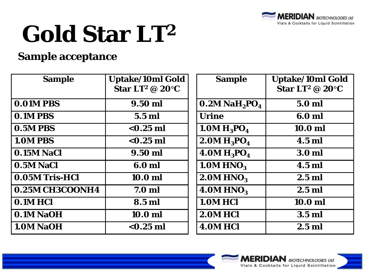

#### **Sample acceptance**

| <b>Sample</b>     | <b>Uptake/10ml Gold</b><br>Star LT <sup>2</sup> @ 20 $\mathrm{C}$ | <b>Sample</b>                           | <b>Uptake/10ml Gold</b><br>Star LT <sup>2</sup> @ 20 $^{\circ}$ C |
|-------------------|-------------------------------------------------------------------|-----------------------------------------|-------------------------------------------------------------------|
| <b>0.01M PBS</b>  | 9.50 ml                                                           | $0.2M$ NaH <sub>2</sub> PO <sub>4</sub> | 5.0 ml                                                            |
| <b>0.1M PBS</b>   | $5.5$ ml                                                          | <b>Urine</b>                            | 6.0 ml                                                            |
| 0.5M PBS          | $<$ 0.25 ml                                                       | 1.0M $H_3PO_4$                          | 10.0 ml                                                           |
| <b>1.0M PBS</b>   | $< 0.25$ ml                                                       | 2.0M $H_3PO_4$                          | 4.5 ml                                                            |
| <b>0.15M NaCl</b> | 9.50 ml                                                           | $4.0M H_3PO_4$                          | 3.0 <sub>m</sub>                                                  |
| 0.5M NaCl         | 6.0 ml                                                            | 1.0M HNO <sub>3</sub>                   | $4.5$ ml                                                          |
| 0.05M Tris-HCl    | 10.0 ml                                                           | 2.0M HNO <sub>3</sub>                   | $2.5$ ml                                                          |
| 0.25M CH3COONH4   | 7.0 <sub>m</sub>                                                  | 4.0M HNO <sub>3</sub>                   | $2.5$ ml                                                          |
| 0.1M HCl          | 8.5 ml                                                            | 1.0M HCl                                | 10.0 ml                                                           |
| 0.1M NaOH         | 10.0 <sub>m</sub>                                                 | 2.0M HCl                                | $3.5$ ml                                                          |
| <b>1.0M NaOH</b>  | $<$ 0.25 ml                                                       | 4.0M HCl                                | $2.5$ ml                                                          |

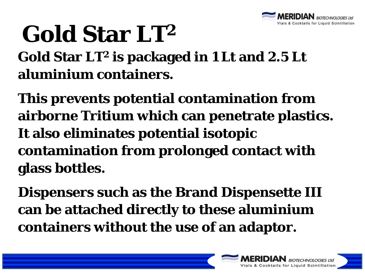

**Gold Star LT2 is packaged in 1 Lt and 2.5 Lt aluminium containers.** 

**This prevents potential contamination from airborne Tritium which can penetrate plastics. It also eliminates potential isotopic contamination from prolonged contact with glass bottles.** 

**Dispensers such as the Brand Dispensette III can be attached directly to these aluminium containers without the use of an adaptor.**

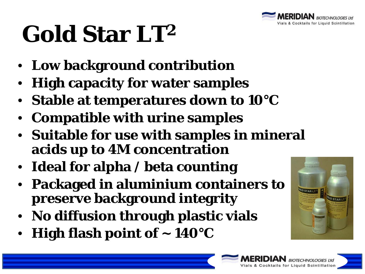

- **Low background contribution**
- **High capacity for water samples**
- **Stable at temperatures down to 10°C**
- **Compatible with urine samples**
- **Suitable for use with samples in mineral acids up to 4M concentration**
- **Ideal for alpha / beta counting**
- **Packaged in aluminium containers to preserve background integrity**
- **No diffusion through plastic vials**
- **High flash point of ~ 140°C**



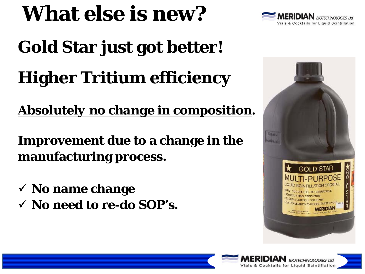#### **What else is new?**

# **Gold Star just got better! Higher Tritium efficiency**

*Absolutely no change in composition***.**

**Improvement due to a change in the manufacturing process.**

- **No name change**
- **No need to re-do SOP's.**





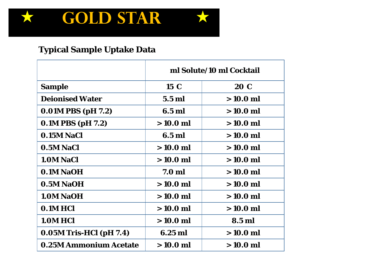

#### **Typical Sample Uptake Data**

|                                | ml Solute/10 ml Cocktail |            |  |
|--------------------------------|--------------------------|------------|--|
| <b>Sample</b>                  | $15\,C$                  | 20 C       |  |
| <b>Deionised Water</b>         | <b>5.5 ml</b>            | $>10.0$ ml |  |
| $0.01M$ PBS (pH 7.2)           | 6.5 ml                   | $>10.0$ ml |  |
| 0.1M PBS (pH 7.2)              | $>10.0$ ml               | $>10.0$ ml |  |
| <b>0.15M NaCl</b>              | 6.5 ml                   | $>10.0$ ml |  |
| 0.5M NaCl                      | $>10.0$ ml               | $>10.0$ ml |  |
| 1.0M NaCl                      | $>10.0$ ml               | $>10.0$ ml |  |
| 0.1M NaOH                      | 7.0 <sub>m</sub>         | $>10.0$ ml |  |
| 0.5M NaOH                      | $>10.0$ ml               | $>10.0$ ml |  |
| 1.0M NaOH                      | $>10.0$ ml               | $>10.0$ ml |  |
| 0.1M HCl                       | $>10.0$ ml               | $>10.0$ ml |  |
| 1.0M HCl                       | $>10.0$ ml               | 8.5 ml     |  |
| <b>0.05M Tris-HCl (pH 7.4)</b> | $6.25$ ml                | $>10.0$ ml |  |
| <b>0.25M Ammonium Acetate</b>  | $>10.0$ ml               | $>10.0$ ml |  |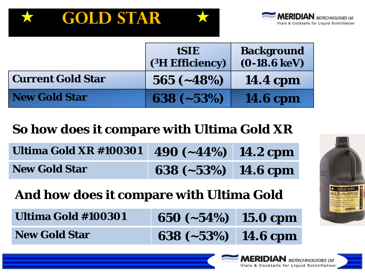



|                          | <b>tSIE</b><br>(3H Efficiency) | <b>Background</b><br>$(0-18.6 \,\mathrm{keV})$ |
|--------------------------|--------------------------------|------------------------------------------------|
| <b>Current Gold Star</b> | $565 (-48%)$                   | <b>14.4 cpm</b>                                |
| <b>New Gold Star</b>     | $638 (-53%)$                   | <b>14.6 cpm</b>                                |

#### **So how does it compare with Ultima Gold XR**

| Ultima Gold XR #100301 490 (~44%) 14.2 cpm |                       |  |
|--------------------------------------------|-----------------------|--|
| <b>New Gold Star</b>                       | 638 $(-53%)$ 14.6 cpm |  |

**And how does it compare with Ultima Gold** 

| Ultima Gold #100301  | 650 $(-54%)$ 15.0 cpm |  |
|----------------------|-----------------------|--|
| <b>New Gold Star</b> | 638 $(-53%)$ 14.6 cpm |  |



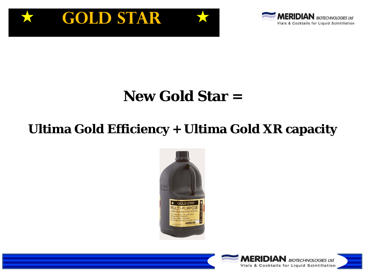



#### **New Gold Star =**

#### **Ultima Gold Efficiency + Ultima Gold XR capacity**